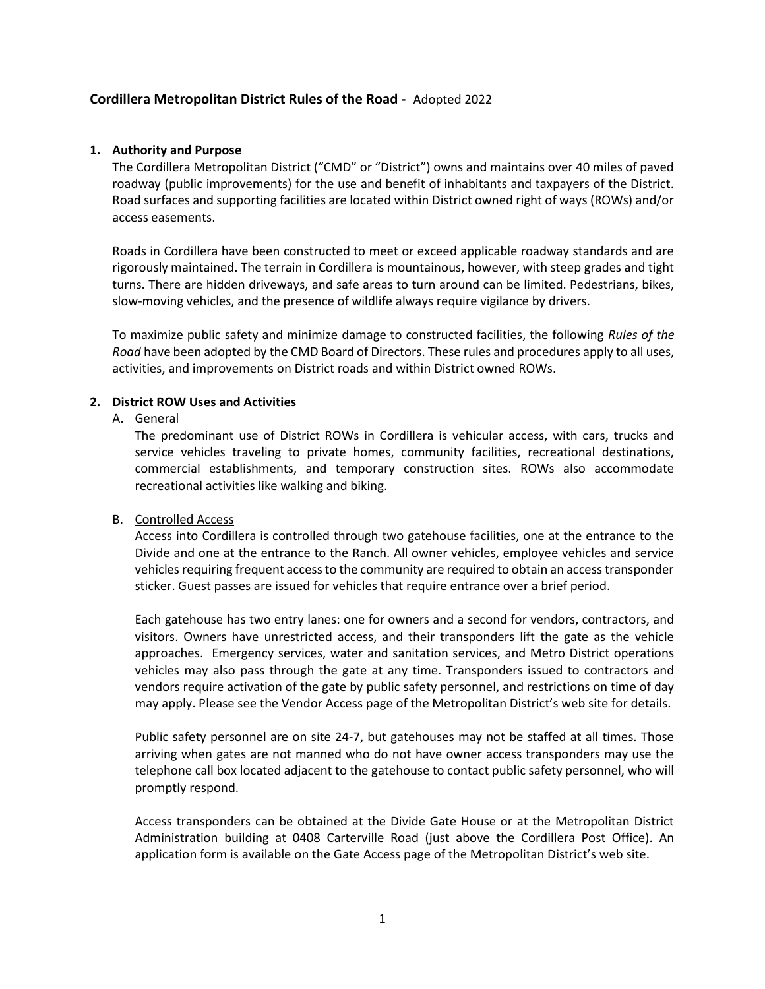# Cordillera Metropolitan District Rules of the Road - Adopted 2022

#### 1. Authority and Purpose

The Cordillera Metropolitan District ("CMD" or "District") owns and maintains over 40 miles of paved roadway (public improvements) for the use and benefit of inhabitants and taxpayers of the District. Road surfaces and supporting facilities are located within District owned right of ways (ROWs) and/or access easements.

Roads in Cordillera have been constructed to meet or exceed applicable roadway standards and are rigorously maintained. The terrain in Cordillera is mountainous, however, with steep grades and tight turns. There are hidden driveways, and safe areas to turn around can be limited. Pedestrians, bikes, slow-moving vehicles, and the presence of wildlife always require vigilance by drivers.

To maximize public safety and minimize damage to constructed facilities, the following Rules of the Road have been adopted by the CMD Board of Directors. These rules and procedures apply to all uses, activities, and improvements on District roads and within District owned ROWs.

#### 2. District ROW Uses and Activities

#### A. General

The predominant use of District ROWs in Cordillera is vehicular access, with cars, trucks and service vehicles traveling to private homes, community facilities, recreational destinations, commercial establishments, and temporary construction sites. ROWs also accommodate recreational activities like walking and biking.

## B. Controlled Access

Access into Cordillera is controlled through two gatehouse facilities, one at the entrance to the Divide and one at the entrance to the Ranch. All owner vehicles, employee vehicles and service vehicles requiring frequent access to the community are required to obtain an access transponder sticker. Guest passes are issued for vehicles that require entrance over a brief period.

Each gatehouse has two entry lanes: one for owners and a second for vendors, contractors, and visitors. Owners have unrestricted access, and their transponders lift the gate as the vehicle approaches. Emergency services, water and sanitation services, and Metro District operations vehicles may also pass through the gate at any time. Transponders issued to contractors and vendors require activation of the gate by public safety personnel, and restrictions on time of day may apply. Please see the Vendor Access page of the Metropolitan District's web site for details.

Public safety personnel are on site 24-7, but gatehouses may not be staffed at all times. Those arriving when gates are not manned who do not have owner access transponders may use the telephone call box located adjacent to the gatehouse to contact public safety personnel, who will promptly respond.

Access transponders can be obtained at the Divide Gate House or at the Metropolitan District Administration building at 0408 Carterville Road (just above the Cordillera Post Office). An application form is available on the Gate Access page of the Metropolitan District's web site.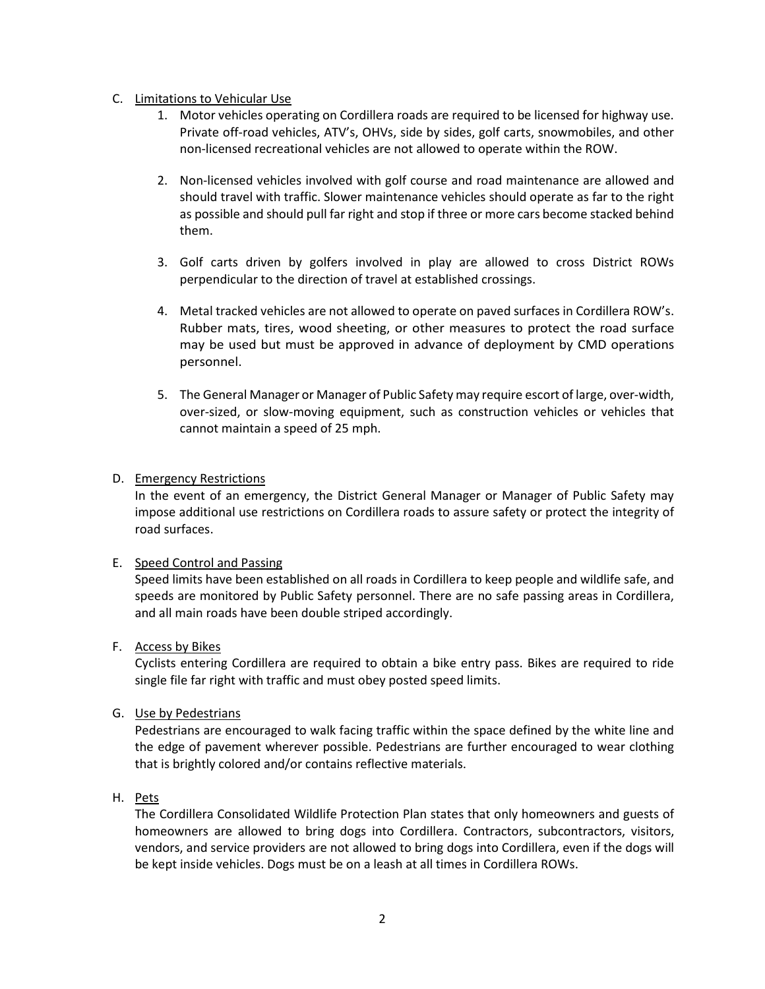## C. Limitations to Vehicular Use

- 1. Motor vehicles operating on Cordillera roads are required to be licensed for highway use. Private off-road vehicles, ATV's, OHVs, side by sides, golf carts, snowmobiles, and other non-licensed recreational vehicles are not allowed to operate within the ROW.
- 2. Non-licensed vehicles involved with golf course and road maintenance are allowed and should travel with traffic. Slower maintenance vehicles should operate as far to the right as possible and should pull far right and stop if three or more cars become stacked behind them.
- 3. Golf carts driven by golfers involved in play are allowed to cross District ROWs perpendicular to the direction of travel at established crossings.
- 4. Metal tracked vehicles are not allowed to operate on paved surfaces in Cordillera ROW's. Rubber mats, tires, wood sheeting, or other measures to protect the road surface may be used but must be approved in advance of deployment by CMD operations personnel.
- 5. The General Manager or Manager of Public Safety may require escort of large, over-width, over-sized, or slow-moving equipment, such as construction vehicles or vehicles that cannot maintain a speed of 25 mph.

# D. Emergency Restrictions

In the event of an emergency, the District General Manager or Manager of Public Safety may impose additional use restrictions on Cordillera roads to assure safety or protect the integrity of road surfaces.

## E. Speed Control and Passing

Speed limits have been established on all roads in Cordillera to keep people and wildlife safe, and speeds are monitored by Public Safety personnel. There are no safe passing areas in Cordillera, and all main roads have been double striped accordingly.

## F. Access by Bikes

Cyclists entering Cordillera are required to obtain a bike entry pass. Bikes are required to ride single file far right with traffic and must obey posted speed limits.

## G. Use by Pedestrians

Pedestrians are encouraged to walk facing traffic within the space defined by the white line and the edge of pavement wherever possible. Pedestrians are further encouraged to wear clothing that is brightly colored and/or contains reflective materials.

## H. Pets

The Cordillera Consolidated Wildlife Protection Plan states that only homeowners and guests of homeowners are allowed to bring dogs into Cordillera. Contractors, subcontractors, visitors, vendors, and service providers are not allowed to bring dogs into Cordillera, even if the dogs will be kept inside vehicles. Dogs must be on a leash at all times in Cordillera ROWs.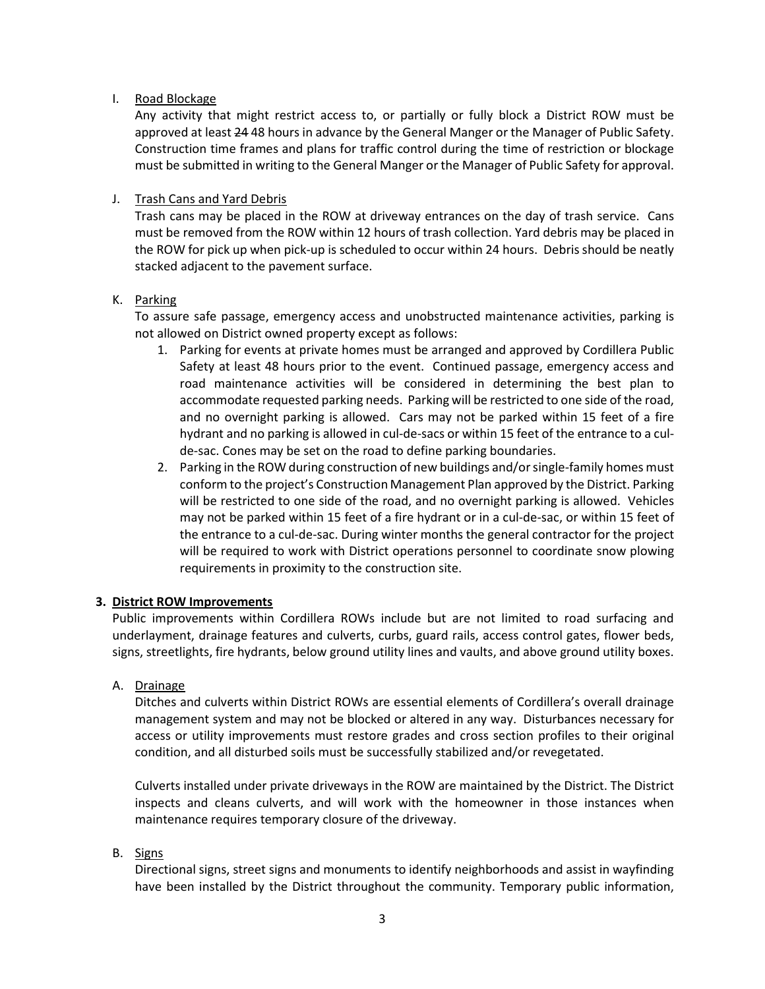## I. Road Blockage

Any activity that might restrict access to, or partially or fully block a District ROW must be approved at least 24 48 hours in advance by the General Manger or the Manager of Public Safety. Construction time frames and plans for traffic control during the time of restriction or blockage must be submitted in writing to the General Manger or the Manager of Public Safety for approval.

# J. Trash Cans and Yard Debris

Trash cans may be placed in the ROW at driveway entrances on the day of trash service. Cans must be removed from the ROW within 12 hours of trash collection. Yard debris may be placed in the ROW for pick up when pick-up is scheduled to occur within 24 hours. Debris should be neatly stacked adjacent to the pavement surface.

## K. Parking

To assure safe passage, emergency access and unobstructed maintenance activities, parking is not allowed on District owned property except as follows:

- 1. Parking for events at private homes must be arranged and approved by Cordillera Public Safety at least 48 hours prior to the event. Continued passage, emergency access and road maintenance activities will be considered in determining the best plan to accommodate requested parking needs. Parking will be restricted to one side of the road, and no overnight parking is allowed. Cars may not be parked within 15 feet of a fire hydrant and no parking is allowed in cul-de-sacs or within 15 feet of the entrance to a culde-sac. Cones may be set on the road to define parking boundaries.
- 2. Parking in the ROW during construction of new buildings and/or single-family homes must conform to the project's Construction Management Plan approved by the District. Parking will be restricted to one side of the road, and no overnight parking is allowed. Vehicles may not be parked within 15 feet of a fire hydrant or in a cul-de-sac, or within 15 feet of the entrance to a cul-de-sac. During winter months the general contractor for the project will be required to work with District operations personnel to coordinate snow plowing requirements in proximity to the construction site.

## 3. District ROW Improvements

Public improvements within Cordillera ROWs include but are not limited to road surfacing and underlayment, drainage features and culverts, curbs, guard rails, access control gates, flower beds, signs, streetlights, fire hydrants, below ground utility lines and vaults, and above ground utility boxes.

# A. Drainage

Ditches and culverts within District ROWs are essential elements of Cordillera's overall drainage management system and may not be blocked or altered in any way. Disturbances necessary for access or utility improvements must restore grades and cross section profiles to their original condition, and all disturbed soils must be successfully stabilized and/or revegetated.

Culverts installed under private driveways in the ROW are maintained by the District. The District inspects and cleans culverts, and will work with the homeowner in those instances when maintenance requires temporary closure of the driveway.

# B. Signs

Directional signs, street signs and monuments to identify neighborhoods and assist in wayfinding have been installed by the District throughout the community. Temporary public information,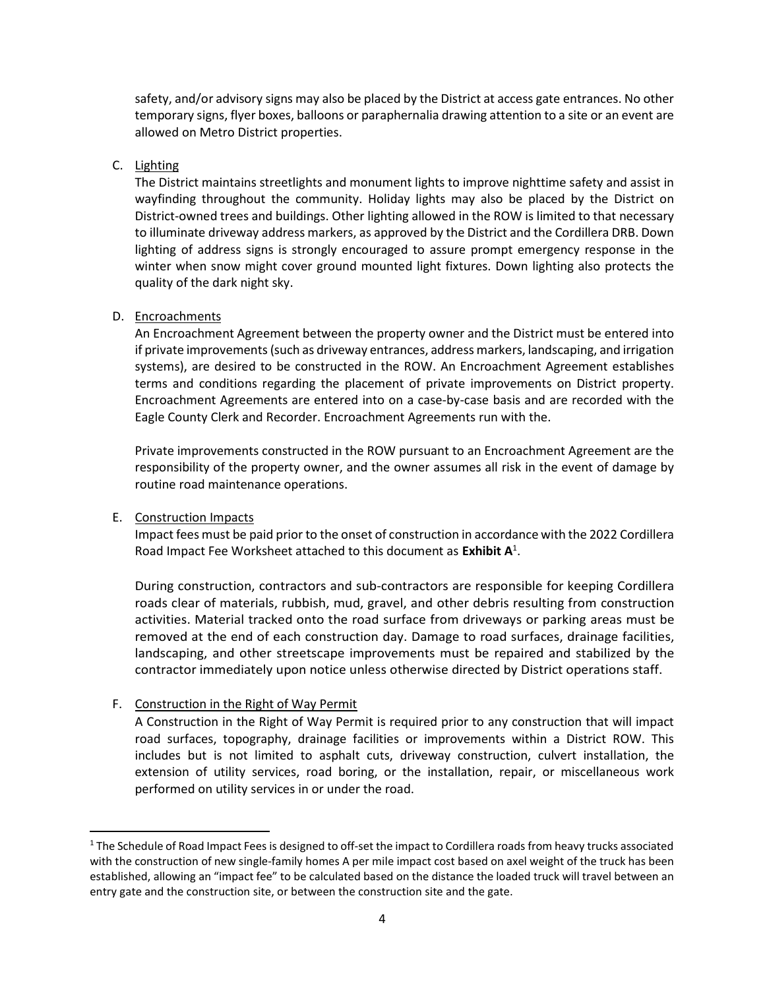safety, and/or advisory signs may also be placed by the District at access gate entrances. No other temporary signs, flyer boxes, balloons or paraphernalia drawing attention to a site or an event are allowed on Metro District properties.

# C. Lighting

The District maintains streetlights and monument lights to improve nighttime safety and assist in wayfinding throughout the community. Holiday lights may also be placed by the District on District-owned trees and buildings. Other lighting allowed in the ROW is limited to that necessary to illuminate driveway address markers, as approved by the District and the Cordillera DRB. Down lighting of address signs is strongly encouraged to assure prompt emergency response in the winter when snow might cover ground mounted light fixtures. Down lighting also protects the quality of the dark night sky.

## D. Encroachments

An Encroachment Agreement between the property owner and the District must be entered into if private improvements (such as driveway entrances, address markers, landscaping, and irrigation systems), are desired to be constructed in the ROW. An Encroachment Agreement establishes terms and conditions regarding the placement of private improvements on District property. Encroachment Agreements are entered into on a case-by-case basis and are recorded with the Eagle County Clerk and Recorder. Encroachment Agreements run with the.

Private improvements constructed in the ROW pursuant to an Encroachment Agreement are the responsibility of the property owner, and the owner assumes all risk in the event of damage by routine road maintenance operations.

#### E. Construction Impacts

Impact fees must be paid prior to the onset of construction in accordance with the 2022 Cordillera Road Impact Fee Worksheet attached to this document as Exhibit  $A^1$ .

During construction, contractors and sub-contractors are responsible for keeping Cordillera roads clear of materials, rubbish, mud, gravel, and other debris resulting from construction activities. Material tracked onto the road surface from driveways or parking areas must be removed at the end of each construction day. Damage to road surfaces, drainage facilities, landscaping, and other streetscape improvements must be repaired and stabilized by the contractor immediately upon notice unless otherwise directed by District operations staff.

## F. Construction in the Right of Way Permit

A Construction in the Right of Way Permit is required prior to any construction that will impact road surfaces, topography, drainage facilities or improvements within a District ROW. This includes but is not limited to asphalt cuts, driveway construction, culvert installation, the extension of utility services, road boring, or the installation, repair, or miscellaneous work performed on utility services in or under the road.

<sup>&</sup>lt;sup>1</sup> The Schedule of Road Impact Fees is designed to off-set the impact to Cordillera roads from heavy trucks associated with the construction of new single-family homes A per mile impact cost based on axel weight of the truck has been established, allowing an "impact fee" to be calculated based on the distance the loaded truck will travel between an entry gate and the construction site, or between the construction site and the gate.